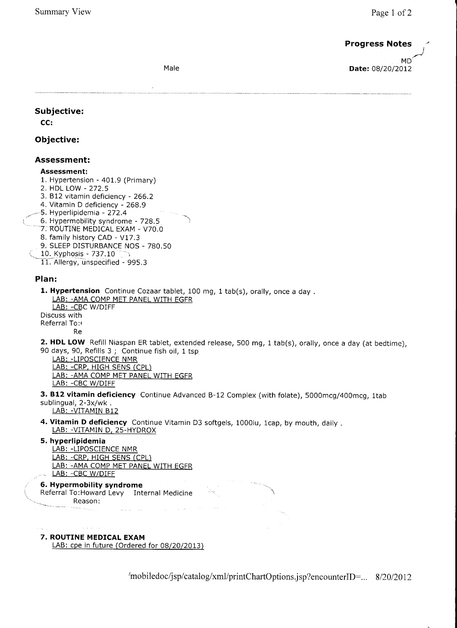# **Progress Notes**

Dob:06/30/1970 Age:42 Y Sex: Male

Provider: leanne W. Shiffman M. Shiffman M. Shiffman M. Shiffman M. Shiffman M. Shiffman M. Shiffman M. Shiffman M. Shiffman M. Shiffman M. Shiffman M. Shiffman M. Shiffman M. Shiffman M. Shiffman M. Shiffman M. Shiffman M Date: 08/20/2012

Subjective:

CC:

# Objective:

## Assessment:

#### Assessment:

- 1. Hypertension 401.9 (Primary)
- 2. HDL LOW 272.5
- 3. 812 vitamin deficiency 266.2
- 4, Vitamin D deficiency 268.9
- -5. Hyperlipidemia 272.4
- 6. Hypermobility syndrome 728.5
- 7. ROUTINE MEDICAL EXAM V7O.O
- 8. family history CAD V17.3 9, SLEEP DISTURBANCE NOS - 780.50
- 10. Kyphosis 737.10
- $\tilde{\phantom{a}}$
- 11. Allergy, unspecified 995,3

## Plan:

1. Hypertension Continue Cozaar tablet, 100 mg, 1 tab(s), orally, once a day. LAB: -AMA COMP MET PANEL WITH EGFR LAB: - CBC W/DIFF

Discuss with Referral To: Re

2. HDL LOW Refill Niaspan ER tablet, extended release, 500 mg, 1 tab(s), orally, once a day (at bedtime), 90 days, 90, Refills 3 ; Continue fish oil, 1 tsp

- LAB: -LIPOSCIENCE NMR
	- LAB: -CRP. HIGH SENS (CPL) LAB: -AMA COMP MET PANEL WITH EGFR LAB: -CBC W/DIFF
- 3. B12 vitamin deficiency Continue Advanced B-12 Complex (with folate), 5000mcg/400mcg, 1tab sublingual, 2-3x/wk . LAB: -VITAMIN B12
- 4. Vitamin D deficiency Continue Vitamin D3 softgels, 1000iu, 1cap, by mouth, daily. LAB: -VITAMIN D, 25-HYDROX
- 5. hyperlipidemia

LAB: -LIPOSCIENCE NMR LAB: -CRP, HIGH SENS (CPL) LAB: -AMA COMP MET PANEL WITH EGFR LAB: - CBC W/DIFF

, 6. Hypermobility syndrome Referral To:Howard Levy Internal Medicine Reason:

# 7. ROUTINE MEDICAL EXAM

LAB: cpe in future (Ordered for 08/20/2013)

/mobiledoc/jsp/catalog/xml/printChartOptions.jsp?encounterID=... 8/20/2012